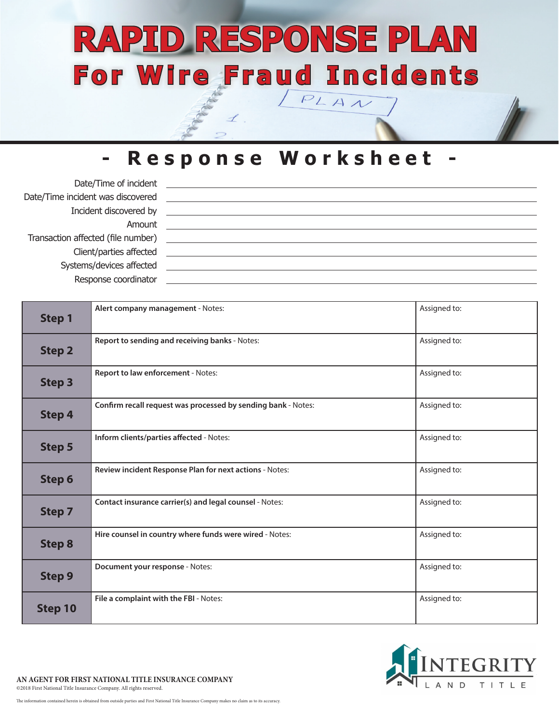# **RAPID RESPONSE PLAN For Wire Fraud Incidents**  $PLAN$

### **- Response Worksheet -**

| Date/Time of incident              |  |  |
|------------------------------------|--|--|
| Date/Time incident was discovered  |  |  |
| Incident discovered by             |  |  |
| Amount                             |  |  |
| Transaction affected (file number) |  |  |
| Client/parties affected            |  |  |
| Systems/devices affected           |  |  |
| Response coordinator               |  |  |

| <b>Step 1</b> | Alert company management - Notes:                             | Assigned to: |
|---------------|---------------------------------------------------------------|--------------|
| <b>Step 2</b> | Report to sending and receiving banks - Notes:                | Assigned to: |
| <b>Step 3</b> | Report to law enforcement - Notes:                            | Assigned to: |
| <b>Step 4</b> | Confirm recall request was processed by sending bank - Notes: | Assigned to: |
| <b>Step 5</b> | Inform clients/parties affected - Notes:                      | Assigned to: |
| Step 6        | Review incident Response Plan for next actions - Notes:       | Assigned to: |
| <b>Step 7</b> | Contact insurance carrier(s) and legal counsel - Notes:       | Assigned to: |
| <b>Step 8</b> | Hire counsel in country where funds were wired - Notes:       | Assigned to: |
| <b>Step 9</b> | Document your response - Notes:                               | Assigned to: |
| Step 10       | File a complaint with the FBI - Notes:                        | Assigned to: |

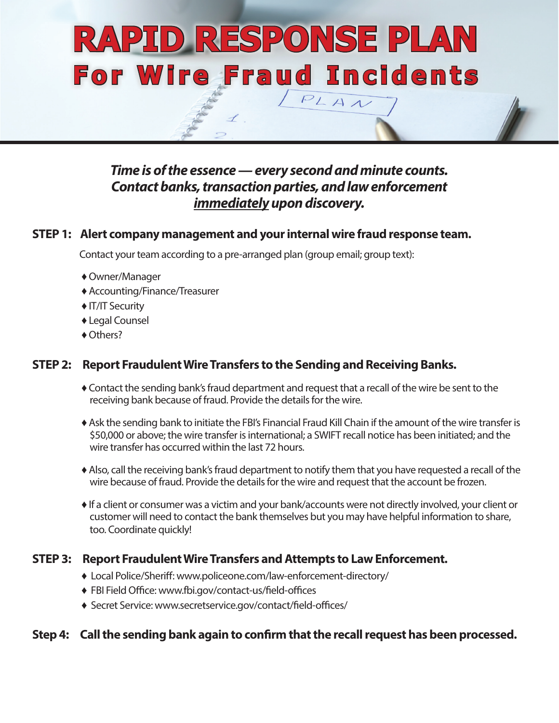# **RAPID RESPONSE PLAN For Wire Fraud Incidents** $PLAN$

#### *Time is of the essence — every second and minute counts. Contact banks, transaction parties, and law enforcement immediately upon discovery.*

#### **STEP 1: Alert company management and your internal wire fraud response team.**

Contact your team according to a pre-arranged plan (group email; group text):

- ♦ Owner/Manager
- ♦ Accounting/Finance/Treasurer
- ♦ IT/IT Security
- ♦ Legal Counsel
- ◆ Others?

#### **STEP 2: Report Fraudulent Wire Transfers to the Sending and Receiving Banks.**

- ♦ Contact the sending bank's fraud department and request that a recall of the wire be sent to the receiving bank because of fraud. Provide the details for the wire.
- ♦ Ask the sending bank to initiate the FBI's Financial Fraud Kill Chain if the amount of the wire transfer is \$50,000 or above; the wire transfer is international; a SWIFT recall notice has been initiated; and the wire transfer has occurred within the last 72 hours.
- ♦ Also, call the receiving bank's fraud department to notify them that you have requested a recall of the wire because of fraud. Provide the details for the wire and request that the account be frozen.
- ♦ If a client or consumer was a victim and your bank/accounts were not directly involved, your client or customer will need to contact the bank themselves but you may have helpful information to share, too. Coordinate quickly!

#### **STEP 3: Report Fraudulent Wire Transfers and Attempts to Law Enforcement.**

- ♦ Local Police/Sheriff: www.policeone.com/law-enforcement-directory/
- ♦ FBI Field Office: www.fbi.gov/contact-us/field-offices
- ♦ Secret Service: www.secretservice.gov/contact/field-offices/

#### **Step 4: Call the sending bank again to confirm that the recall request has been processed.**